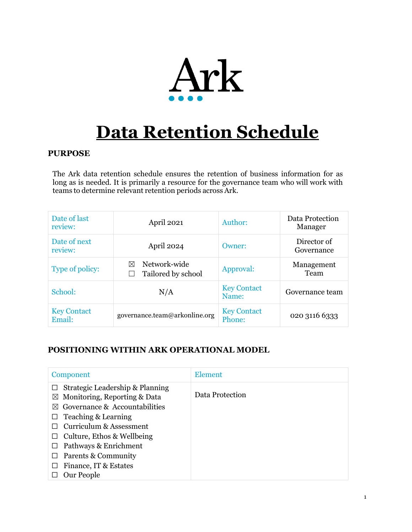

# **Data Retention Schedule**

#### **PURPOSE**

The Ark data retention schedule ensures the retention of business information for as long as is needed. It is primarily a resource for the governance team who will work with teams to determine relevant retention periods across Ark.

| Date of last<br>review:      | April 2021                                      | Author:                      | Data Protection<br>Manager |
|------------------------------|-------------------------------------------------|------------------------------|----------------------------|
| Date of next<br>review:      | April 2024                                      | Owner:                       | Director of<br>Governance  |
| Type of policy:              | Network-wide<br>$\bowtie$<br>Tailored by school | Approval:                    | Management<br>Team         |
| School:                      | N/A                                             | <b>Key Contact</b><br>Name:  | Governance team            |
| <b>Key Contact</b><br>Email: | governance.team@arkonline.org                   | <b>Key Contact</b><br>Phone: | 020 3116 6333              |

## **POSITIONING WITHIN ARK OPERATIONAL MODEL**

| Component                                                                                                                 | <b>Element</b>  |
|---------------------------------------------------------------------------------------------------------------------------|-----------------|
| Strategic Leadership & Planning<br>$\boxtimes$ Monitoring, Reporting & Data<br>Governance & Accountabilities<br>$\bowtie$ | Data Protection |
| Teaching & Learning                                                                                                       |                 |
| Curriculum & Assessment                                                                                                   |                 |
| Culture, Ethos & Wellbeing                                                                                                |                 |
| Pathways & Enrichment                                                                                                     |                 |
| Parents & Community                                                                                                       |                 |
| Finance, IT & Estates                                                                                                     |                 |
| Our People                                                                                                                |                 |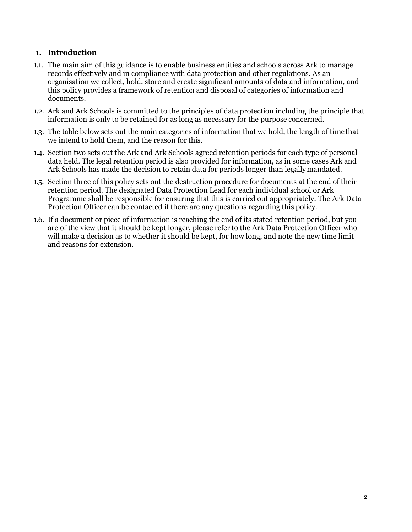#### **1. Introduction**

- 1.1. The main aim of this guidance is to enable business entities and schools across Ark to manage records effectively and in compliance with data protection and other regulations. As an organisation we collect, hold, store and create significant amounts of data and information, and this policy provides a framework of retention and disposal of categories of information and documents.
- 1.2. Ark and Ark Schools is committed to the principles of data protection including the principle that information is only to be retained for as long as necessary for the purpose concerned.
- 1.3. The table below sets out the main categories of information that we hold, the length of timethat we intend to hold them, and the reason for this.
- 1.4. Section two sets out the Ark and Ark Schools agreed retention periods for each type of personal data held. The legal retention period is also provided for information, as in some cases Ark and Ark Schools has made the decision to retain data for periods longer than legally mandated.
- 1.5. Section three of this policy sets out the destruction procedure for documents at the end of their retention period. The designated Data Protection Lead for each individual school or Ark Programme shall be responsible for ensuring that this is carried out appropriately. The Ark Data Protection Officer can be contacted if there are any questions regarding this policy.
- 1.6. If a document or piece of information is reaching the end of its stated retention period, but you are of the view that it should be kept longer, please refer to the Ark Data Protection Officer who will make a decision as to whether it should be kept, for how long, and note the new time limit and reasons for extension.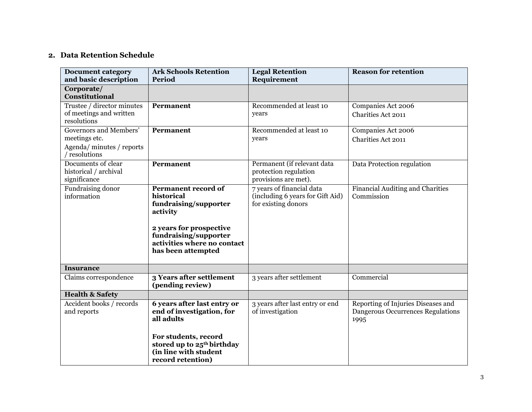# **2. Data Retention Schedule**

| <b>Document category</b><br>and basic description                                | <b>Ark Schools Retention</b><br><b>Period</b>                                                                                                                                   | <b>Legal Retention</b><br>Requirement                                                | <b>Reason for retention</b>                                                     |
|----------------------------------------------------------------------------------|---------------------------------------------------------------------------------------------------------------------------------------------------------------------------------|--------------------------------------------------------------------------------------|---------------------------------------------------------------------------------|
| Corporate/<br>Constitutional                                                     |                                                                                                                                                                                 |                                                                                      |                                                                                 |
| Trustee / director minutes<br>of meetings and written<br>resolutions             | Permanent                                                                                                                                                                       | Recommended at least 10<br>years                                                     | Companies Act 2006<br><b>Charities Act 2011</b>                                 |
| Governors and Members'<br>meetings etc.<br>Agenda/minutes/reports<br>resolutions | Permanent                                                                                                                                                                       | Recommended at least 10<br>years                                                     | Companies Act 2006<br>Charities Act 2011                                        |
| Documents of clear<br>historical / archival<br>significance                      | Permanent                                                                                                                                                                       | Permanent (if relevant data<br>protection regulation<br>provisions are met).         | Data Protection regulation                                                      |
| Fundraising donor<br>information                                                 | Permanent record of<br>historical<br>fundraising/supporter<br>activity<br>2 years for prospective<br>fundraising/supporter<br>activities where no contact<br>has been attempted | 7 years of financial data<br>(including 6 years for Gift Aid)<br>for existing donors | Financial Auditing and Charities<br>Commission                                  |
| <b>Insurance</b>                                                                 |                                                                                                                                                                                 |                                                                                      |                                                                                 |
| Claims correspondence                                                            | 3 Years after settlement<br>(pending review)                                                                                                                                    | 3 years after settlement                                                             | Commercial                                                                      |
| <b>Health &amp; Safety</b>                                                       |                                                                                                                                                                                 |                                                                                      |                                                                                 |
| Accident books / records<br>and reports                                          | 6 years after last entry or<br>end of investigation, for<br>all adults                                                                                                          | 3 years after last entry or end<br>of investigation                                  | Reporting of Injuries Diseases and<br>Dangerous Occurrences Regulations<br>1995 |
|                                                                                  | For students, record<br>stored up to 25 <sup>th</sup> birthday<br>(in line with student<br>record retention)                                                                    |                                                                                      |                                                                                 |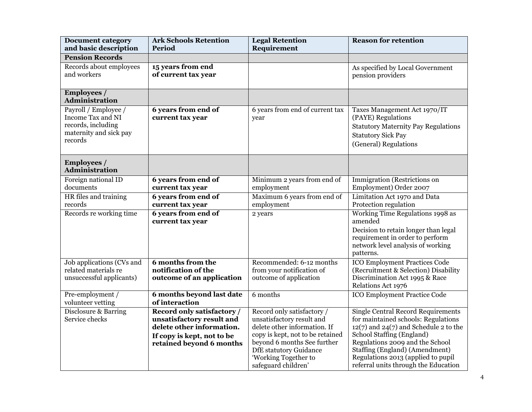| <b>Document category</b><br>and basic description                                                    | <b>Ark Schools Retention</b><br>Period                                                                                                         | <b>Legal Retention</b><br>Requirement                                                                                                                                                       | <b>Reason for retention</b>                                                                                                                                                                                                     |
|------------------------------------------------------------------------------------------------------|------------------------------------------------------------------------------------------------------------------------------------------------|---------------------------------------------------------------------------------------------------------------------------------------------------------------------------------------------|---------------------------------------------------------------------------------------------------------------------------------------------------------------------------------------------------------------------------------|
| <b>Pension Records</b>                                                                               |                                                                                                                                                |                                                                                                                                                                                             |                                                                                                                                                                                                                                 |
| Records about employees<br>and workers                                                               | 15 years from end<br>of current tax year                                                                                                       |                                                                                                                                                                                             | As specified by Local Government<br>pension providers                                                                                                                                                                           |
| <b>Employees</b> /<br><b>Administration</b>                                                          |                                                                                                                                                |                                                                                                                                                                                             |                                                                                                                                                                                                                                 |
| Payroll / Employee /<br>Income Tax and NI<br>records, including<br>maternity and sick pay<br>records | 6 years from end of<br>current tax year                                                                                                        | 6 years from end of current tax<br>year                                                                                                                                                     | Taxes Management Act 1970/IT<br>(PAYE) Regulations<br><b>Statutory Maternity Pay Regulations</b><br><b>Statutory Sick Pay</b><br>(General) Regulations                                                                          |
| <b>Employees</b> /<br><b>Administration</b>                                                          |                                                                                                                                                |                                                                                                                                                                                             |                                                                                                                                                                                                                                 |
| Foreign national ID<br>documents                                                                     | 6 years from end of<br>current tax year                                                                                                        | Minimum 2 years from end of<br>employment                                                                                                                                                   | Immigration (Restrictions on<br>Employment) Order 2007                                                                                                                                                                          |
| HR files and training<br>records                                                                     | 6 years from end of<br>current tax year                                                                                                        | Maximum 6 years from end of<br>employment                                                                                                                                                   | Limitation Act 1970 and Data<br>Protection regulation                                                                                                                                                                           |
| Records re working time                                                                              | 6 years from end of<br>current tax year                                                                                                        | 2 years                                                                                                                                                                                     | Working Time Regulations 1998 as<br>amended<br>Decision to retain longer than legal<br>requirement in order to perform<br>network level analysis of working<br>patterns.                                                        |
| Job applications (CVs and<br>related materials re<br>unsuccessful applicants)                        | <b>6</b> months from the<br>notification of the<br>outcome of an application                                                                   | Recommended: 6-12 months<br>from your notification of<br>outcome of application                                                                                                             | <b>ICO Employment Practices Code</b><br>(Recruitment & Selection) Disability<br>Discrimination Act 1995 & Race<br>Relations Act 1976                                                                                            |
| Pre-employment /<br>volunteer vetting                                                                | 6 months beyond last date<br>of interaction                                                                                                    | 6 months                                                                                                                                                                                    | <b>ICO Employment Practice Code</b>                                                                                                                                                                                             |
| Disclosure & Barring<br>Service checks                                                               | Record only satisfactory /<br>unsatisfactory result and<br>delete other information.<br>If copy is kept, not to be<br>retained beyond 6 months | Record only satisfactory /<br>unsatisfactory result and<br>delete other information. If<br>copy is kept, not to be retained<br>beyond 6 months See further<br><b>DfE</b> statutory Guidance | <b>Single Central Record Requirements</b><br>for maintained schools: Regulations<br>$12(7)$ and $24(7)$ and Schedule 2 to the<br>School Staffing (England)<br>Regulations 2009 and the School<br>Staffing (England) (Amendment) |
|                                                                                                      |                                                                                                                                                | 'Working Together to<br>safeguard children'                                                                                                                                                 | Regulations 2013 (applied to pupil<br>referral units through the Education                                                                                                                                                      |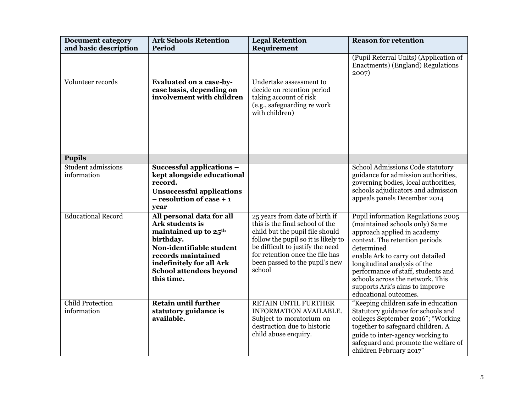| <b>Document category</b><br>and basic description | <b>Ark Schools Retention</b><br>Period                                                                                                                                                                                       | <b>Legal Retention</b><br>Requirement                                                                                                                                                                                                                          | <b>Reason for retention</b>                                                                                                                                                                                                                                                                                                                                  |
|---------------------------------------------------|------------------------------------------------------------------------------------------------------------------------------------------------------------------------------------------------------------------------------|----------------------------------------------------------------------------------------------------------------------------------------------------------------------------------------------------------------------------------------------------------------|--------------------------------------------------------------------------------------------------------------------------------------------------------------------------------------------------------------------------------------------------------------------------------------------------------------------------------------------------------------|
|                                                   |                                                                                                                                                                                                                              |                                                                                                                                                                                                                                                                | (Pupil Referral Units) (Application of<br>Enactments) (England) Regulations<br>2007)                                                                                                                                                                                                                                                                         |
| Volunteer records                                 | <b>Evaluated on a case-by-</b><br>case basis, depending on<br>involvement with children                                                                                                                                      | Undertake assessment to<br>decide on retention period<br>taking account of risk<br>(e.g., safeguarding re work<br>with children)                                                                                                                               |                                                                                                                                                                                                                                                                                                                                                              |
| <b>Pupils</b>                                     |                                                                                                                                                                                                                              |                                                                                                                                                                                                                                                                |                                                                                                                                                                                                                                                                                                                                                              |
| Student admissions<br>information                 | Successful applications -<br>kept alongside educational<br>record.<br><b>Unsuccessful applications</b><br>$-$ resolution of case $+1$<br>year                                                                                |                                                                                                                                                                                                                                                                | School Admissions Code statutory<br>guidance for admission authorities,<br>governing bodies, local authorities,<br>schools adjudicators and admission<br>appeals panels December 2014                                                                                                                                                                        |
| <b>Educational Record</b>                         | All personal data for all<br>Ark students is<br>maintained up to 25 <sup>th</sup><br>birthday.<br>Non-identifiable student<br>records maintained<br>indefinitely for all Ark<br><b>School attendees beyond</b><br>this time. | 25 years from date of birth if<br>this is the final school of the<br>child but the pupil file should<br>follow the pupil so it is likely to<br>be difficult to justify the need<br>for retention once the file has<br>been passed to the pupil's new<br>school | Pupil information Regulations 2005<br>(maintained schools only) Same<br>approach applied in academy<br>context. The retention periods<br>determined<br>enable Ark to carry out detailed<br>longitudinal analysis of the<br>performance of staff, students and<br>schools across the network. This<br>supports Ark's aims to improve<br>educational outcomes. |
| <b>Child Protection</b><br>information            | <b>Retain until further</b><br>statutory guidance is<br>available.                                                                                                                                                           | RETAIN UNTIL FURTHER<br>INFORMATION AVAILABLE.<br>Subject to moratorium on<br>destruction due to historic<br>child abuse enquiry.                                                                                                                              | "Keeping children safe in education<br>Statutory guidance for schools and<br>colleges September 2016"; "Working<br>together to safeguard children. A<br>guide to inter-agency working to<br>safeguard and promote the welfare of<br>children February 2017"                                                                                                  |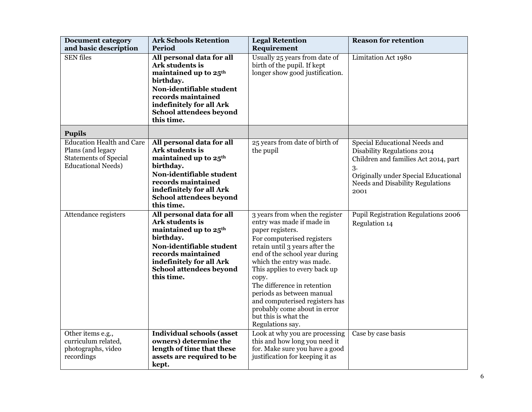| <b>Document category</b><br>and basic description                                                                  | <b>Ark Schools Retention</b><br>Period                                                                                                                                                                                       | <b>Legal Retention</b><br>Requirement                                                                                                                                                                                                                                                                                                                                                                                             | <b>Reason for retention</b>                                                                                                                                                                    |
|--------------------------------------------------------------------------------------------------------------------|------------------------------------------------------------------------------------------------------------------------------------------------------------------------------------------------------------------------------|-----------------------------------------------------------------------------------------------------------------------------------------------------------------------------------------------------------------------------------------------------------------------------------------------------------------------------------------------------------------------------------------------------------------------------------|------------------------------------------------------------------------------------------------------------------------------------------------------------------------------------------------|
| <b>SEN</b> files                                                                                                   | All personal data for all<br>Ark students is<br>maintained up to 25 <sup>th</sup><br>birthday.<br>Non-identifiable student<br>records maintained<br>indefinitely for all Ark<br>School attendees beyond<br>this time.        | Usually 25 years from date of<br>birth of the pupil. If kept<br>longer show good justification.                                                                                                                                                                                                                                                                                                                                   | Limitation Act 1980                                                                                                                                                                            |
| <b>Pupils</b>                                                                                                      |                                                                                                                                                                                                                              |                                                                                                                                                                                                                                                                                                                                                                                                                                   |                                                                                                                                                                                                |
| <b>Education Health and Care</b><br>Plans (and legacy<br><b>Statements of Special</b><br><b>Educational Needs)</b> | All personal data for all<br>Ark students is<br>maintained up to 25 <sup>th</sup><br>birthday.<br>Non-identifiable student<br>records maintained<br>indefinitely for all Ark<br><b>School attendees beyond</b><br>this time. | 25 years from date of birth of<br>the pupil                                                                                                                                                                                                                                                                                                                                                                                       | Special Educational Needs and<br>Disability Regulations 2014<br>Children and families Act 2014, part<br>3.<br>Originally under Special Educational<br>Needs and Disability Regulations<br>2001 |
| Attendance registers                                                                                               | All personal data for all<br>Ark students is<br>maintained up to 25 <sup>th</sup><br>birthday.<br>Non-identifiable student<br>records maintained<br>indefinitely for all Ark<br>School attendees beyond<br>this time.        | 3 years from when the register<br>entry was made if made in<br>paper registers.<br>For computerised registers<br>retain until 3 years after the<br>end of the school year during<br>which the entry was made.<br>This applies to every back up<br>copy.<br>The difference in retention<br>periods as between manual<br>and computerised registers has<br>probably come about in error<br>but this is what the<br>Regulations say. | Pupil Registration Regulations 2006<br>Regulation 14                                                                                                                                           |
| Other items e.g.,<br>curriculum related,<br>photographs, video<br>recordings                                       | <b>Individual schools (asset</b><br>owners) determine the<br>length of time that these<br>assets are required to be<br>kept.                                                                                                 | Look at why you are processing<br>this and how long you need it<br>for. Make sure you have a good<br>justification for keeping it as                                                                                                                                                                                                                                                                                              | Case by case basis                                                                                                                                                                             |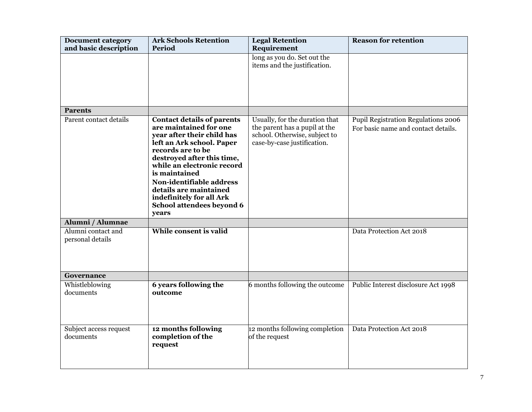| <b>Document category</b><br>and basic description | <b>Ark Schools Retention</b><br>Period                                                                                                                                                                                                                                                                                                           | <b>Legal Retention</b><br>Requirement                                                                                           | <b>Reason for retention</b>                                                |
|---------------------------------------------------|--------------------------------------------------------------------------------------------------------------------------------------------------------------------------------------------------------------------------------------------------------------------------------------------------------------------------------------------------|---------------------------------------------------------------------------------------------------------------------------------|----------------------------------------------------------------------------|
|                                                   |                                                                                                                                                                                                                                                                                                                                                  | long as you do. Set out the<br>items and the justification.                                                                     |                                                                            |
| <b>Parents</b>                                    |                                                                                                                                                                                                                                                                                                                                                  |                                                                                                                                 |                                                                            |
| Parent contact details                            | <b>Contact details of parents</b><br>are maintained for one<br>year after their child has<br>left an Ark school. Paper<br>records are to be<br>destroyed after this time,<br>while an electronic record<br>is maintained<br>Non-identifiable address<br>details are maintained<br>indefinitely for all Ark<br>School attendees beyond 6<br>years | Usually, for the duration that<br>the parent has a pupil at the<br>school. Otherwise, subject to<br>case-by-case justification. | Pupil Registration Regulations 2006<br>For basic name and contact details. |
| Alumni / Alumnae                                  |                                                                                                                                                                                                                                                                                                                                                  |                                                                                                                                 |                                                                            |
| Alumni contact and<br>personal details            | While consent is valid                                                                                                                                                                                                                                                                                                                           |                                                                                                                                 | Data Protection Act 2018                                                   |
| Governance                                        |                                                                                                                                                                                                                                                                                                                                                  |                                                                                                                                 |                                                                            |
| Whistleblowing<br>documents                       | 6 years following the<br>outcome                                                                                                                                                                                                                                                                                                                 | 6 months following the outcome                                                                                                  | Public Interest disclosure Act 1998                                        |
| Subject access request<br>documents               | 12 months following<br>completion of the<br>request                                                                                                                                                                                                                                                                                              | 12 months following completion<br>of the request                                                                                | Data Protection Act 2018                                                   |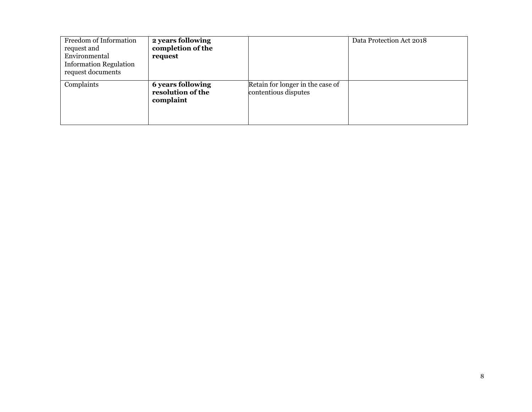| Freedom of Information<br>request and<br>Environmental<br><b>Information Regulation</b><br>request documents | 2 years following<br>completion of the<br>request   |                                                          | Data Protection Act 2018 |
|--------------------------------------------------------------------------------------------------------------|-----------------------------------------------------|----------------------------------------------------------|--------------------------|
| Complaints                                                                                                   | 6 years following<br>resolution of the<br>complaint | Retain for longer in the case of<br>contentious disputes |                          |